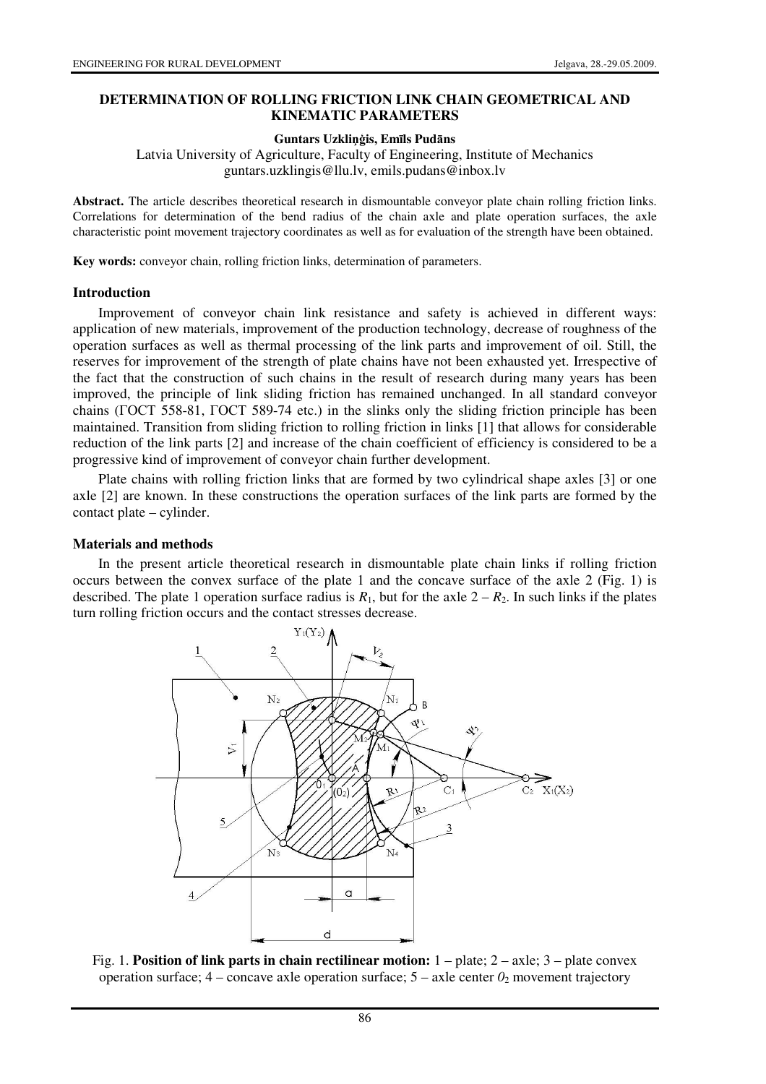### **DETERMINATION OF ROLLING FRICTION LINK CHAIN GEOMETRICAL AND KINEMATIC PARAMETERS**

#### **Guntars Uzkli**ņģ**is, Em**ī**ls Pud**ā**ns**

Latvia University of Agriculture, Faculty of Engineering, Institute of Mechanics guntars.uzklingis@llu.lv, emils.pudans@inbox.lv

**Abstract.** The article describes theoretical research in dismountable conveyor plate chain rolling friction links. Correlations for determination of the bend radius of the chain axle and plate operation surfaces, the axle characteristic point movement trajectory coordinates as well as for evaluation of the strength have been obtained.

**Key words:** conveyor chain, rolling friction links, determination of parameters.

#### **Introduction**

Improvement of conveyor chain link resistance and safety is achieved in different ways: application of new materials, improvement of the production technology, decrease of roughness of the operation surfaces as well as thermal processing of the link parts and improvement of oil. Still, the reserves for improvement of the strength of plate chains have not been exhausted yet. Irrespective of the fact that the construction of such chains in the result of research during many years has been improved, the principle of link sliding friction has remained unchanged. In all standard conveyor chains (ГОСТ 558-81, ГОСТ 589-74 etc.) in the slinks only the sliding friction principle has been maintained. Transition from sliding friction to rolling friction in links [1] that allows for considerable reduction of the link parts [2] and increase of the chain coefficient of efficiency is considered to be a progressive kind of improvement of conveyor chain further development.

Plate chains with rolling friction links that are formed by two cylindrical shape axles [3] or one axle [2] are known. In these constructions the operation surfaces of the link parts are formed by the contact plate – cylinder.

#### **Materials and methods**

In the present article theoretical research in dismountable plate chain links if rolling friction occurs between the convex surface of the plate 1 and the concave surface of the axle 2 (Fig. 1) is described. The plate 1 operation surface radius is  $R_1$ , but for the axle  $2 - R_2$ . In such links if the plates turn rolling friction occurs and the contact stresses decrease.



Fig. 1. **Position of link parts in chain rectilinear motion:** 1 – plate; 2 – axle; 3 – plate convex operation surface;  $4$  – concave axle operation surface;  $5$  – axle center  $\theta_2$  movement trajectory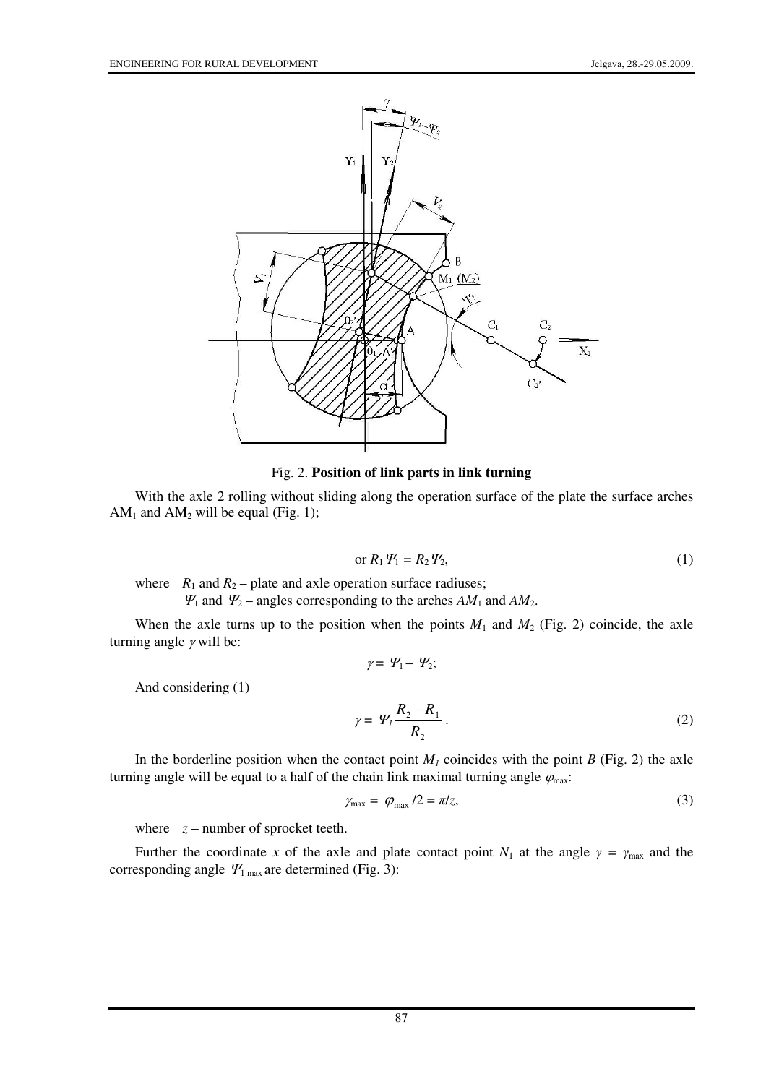

Fig. 2. **Position of link parts in link turning** 

With the axle 2 rolling without sliding along the operation surface of the plate the surface arches  $AM<sub>1</sub>$  and  $AM<sub>2</sub>$  will be equal (Fig. 1);

$$
\text{or } R_1 \mathcal{V}_1 = R_2 \mathcal{V}_2,\tag{1}
$$

where  $R_1$  and  $R_2$  – plate and axle operation surface radiuses;

 $\Psi_1$  and  $\Psi_2$  – angles corresponding to the arches  $AM_1$  and  $AM_2$ .

When the axle turns up to the position when the points  $M_1$  and  $M_2$  (Fig. 2) coincide, the axle turning angle  $\gamma$  will be:

$$
\gamma = \varPsi_1 - \varPsi_2;
$$

And considering (1)

$$
\gamma = \varPsi_1 \frac{R_2 - R_1}{R_2} \,. \tag{2}
$$

In the borderline position when the contact point  $M<sub>1</sub>$  coincides with the point *B* (Fig. 2) the axle turning angle will be equal to a half of the chain link maximal turning angle  $\varphi_{\text{max}}$ .

$$
\gamma_{\text{max}} = \varphi_{\text{max}} / 2 = \pi / z,\tag{3}
$$

where  $z$  – number of sprocket teeth.

Further the coordinate *x* of the axle and plate contact point  $N_1$  at the angle  $\gamma = \gamma_{\text{max}}$  and the corresponding angle  $\mathcal{Y}_{1\text{ max}}$  are determined (Fig. 3):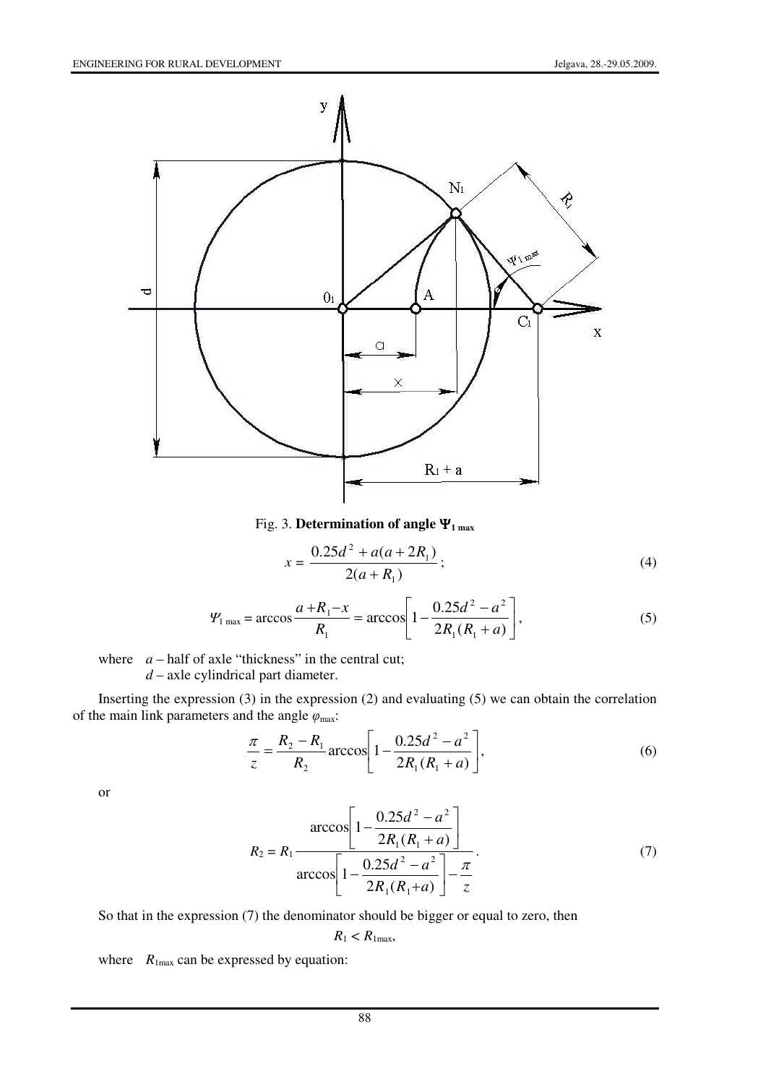

Fig. 3. **Determination of angle** Ψ**1 max**

$$
x = \frac{0.25d^2 + a(a + 2R_1)}{2(a + R_1)};
$$
\n(4)

$$
\Psi_{1\max} = \arccos \frac{a + R_1 - x}{R_1} = \arccos \left[ 1 - \frac{0.25d^2 - a^2}{2R_1(R_1 + a)} \right],\tag{5}
$$

where  $a$  – half of axle "thickness" in the central cut;  *d* – axle cylindrical part diameter.

Inserting the expression (3) in the expression (2) and evaluating (5) we can obtain the correlation of the main link parameters and the angle  $\varphi_{\text{max}}$ :

$$
\frac{\pi}{z} = \frac{R_2 - R_1}{R_2} \arccos\left[1 - \frac{0.25d^2 - a^2}{2R_1(R_1 + a)}\right],\tag{6}
$$

or

$$
R_2 = R_1 \frac{\arccos\left[1 - \frac{0.25d^2 - a^2}{2R_1(R_1 + a)}\right]}{\arccos\left[1 - \frac{0.25d^2 - a^2}{2R_1(R_1 + a)}\right] - \frac{\pi}{z}}.
$$
(7)

So that in the expression (7) the denominator should be bigger or equal to zero, then

$$
R_1 < R_{1\text{max}},
$$

where  $R_{1\text{max}}$  can be expressed by equation: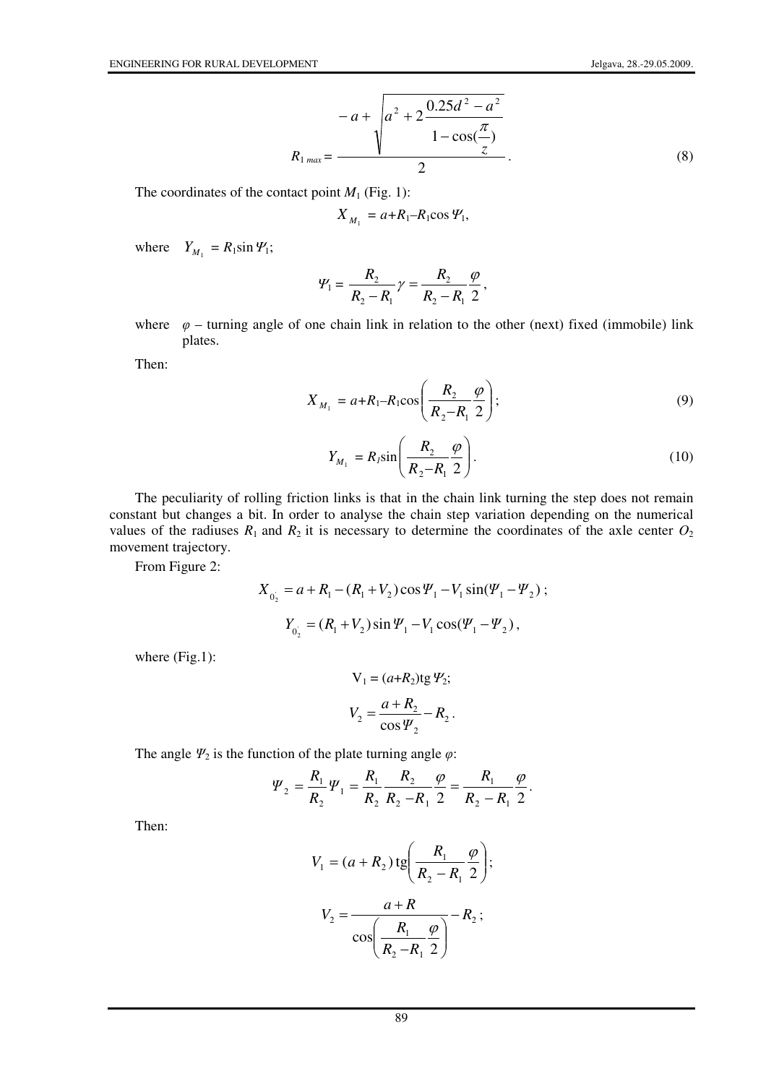$$
-a + \sqrt{a^{2} + 2 \frac{0.25d^{2} - a^{2}}{1 - \cos(\frac{\pi}{z})}}
$$
\n
$$
R_{1 max} = \frac{}{2}
$$
\n(8)

The coordinates of the contact point  $M_1$  (Fig. 1):

$$
X_{M_1} = a + R_1 - R_1 \cos \varPsi_1,
$$

where  $Y_{M_1} = R_1 \sin \Psi_1$ ;

$$
\Psi_1 = \frac{R_2}{R_2 - R_1} \gamma = \frac{R_2}{R_2 - R_1} \frac{\varphi}{2},
$$

where  $\varphi$  – turning angle of one chain link in relation to the other (next) fixed (immobile) link plates.

Then:

$$
X_{M_1} = a + R_1 - R_1 \cos\left(\frac{R_2}{R_2 - R_1} \frac{\varphi}{2}\right);
$$
\n(9)

 $\sim$ 

$$
Y_{M_1} = R_I \sin\left(\frac{R_2}{R_2 - R_1} \frac{\varphi}{2}\right).
$$
 (10)

The peculiarity of rolling friction links is that in the chain link turning the step does not remain constant but changes a bit. In order to analyse the chain step variation depending on the numerical values of the radiuses  $R_1$  and  $R_2$  it is necessary to determine the coordinates of the axle center  $O_2$ movement trajectory.

From Figure 2:

$$
X_{0_2} = a + R_1 - (R_1 + V_2) \cos \Psi_1 - V_1 \sin(\Psi_1 - \Psi_2);
$$
  

$$
Y_{0_2} = (R_1 + V_2) \sin \Psi_1 - V_1 \cos(\Psi_1 - \Psi_2),
$$

where (Fig.1):

$$
V_1 = (a+R_2)tg \mathcal{Y}_2;
$$
  

$$
V_2 = \frac{a+R_2}{\cos \mathcal{Y}_2} - R_2.
$$

The angle  $\Psi_2$  is the function of the plate turning angle  $\varphi$ :

$$
\Psi_2 = \frac{R_1}{R_2} \Psi_1 = \frac{R_1}{R_2} \frac{R_2}{R_2 - R_1} \frac{\varphi}{2} = \frac{R_1}{R_2 - R_1} \frac{\varphi}{2}.
$$

Then:

$$
V_1 = (a + R_2) \operatorname{tg} \left( \frac{R_1}{R_2 - R_1} \frac{\varphi}{2} \right);
$$

$$
V_2 = \frac{a + R}{\cos \left( \frac{R_1}{R_2 - R_1} \frac{\varphi}{2} \right)} - R_2;
$$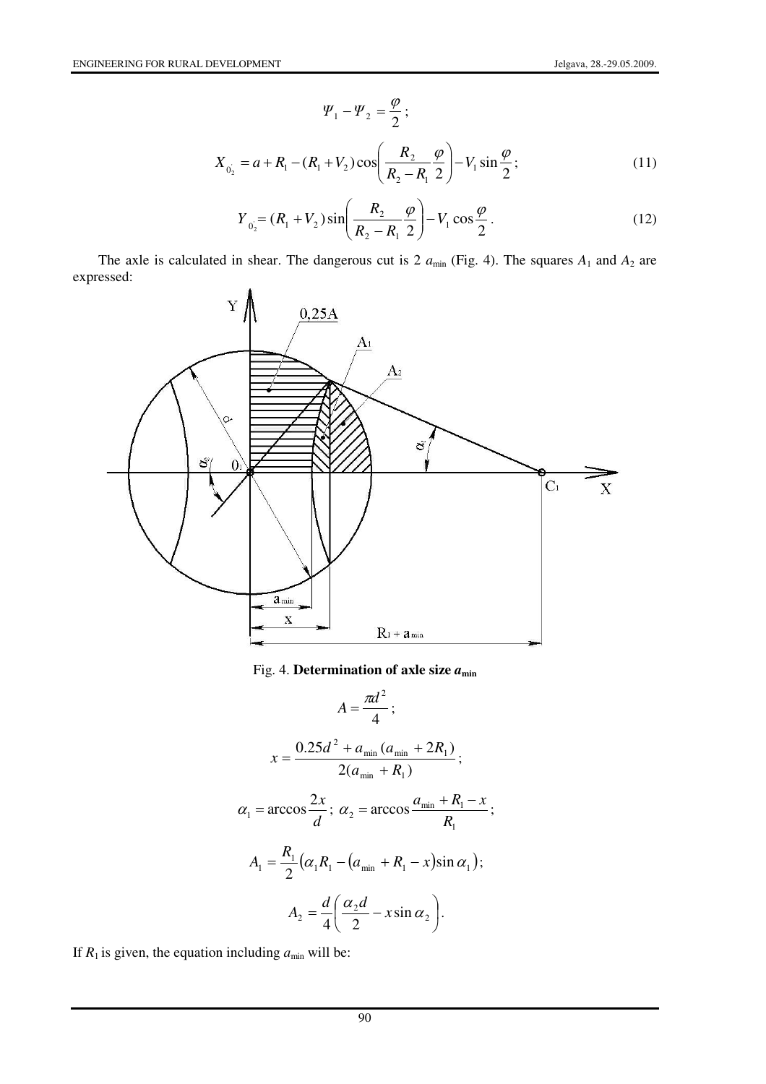$$
\Psi_1 - \Psi_2 = \frac{\varphi}{2};
$$
  
\n
$$
X_{0_2} = a + R_1 - (R_1 + V_2) \cos\left(\frac{R_2}{R_2 - R_1} \frac{\varphi}{2}\right) - V_1 \sin\frac{\varphi}{2};
$$
\n(11)

$$
Y_{0_2} = (R_1 + V_2) \sin\left(\frac{R_2}{R_2 - R_1} \frac{\varphi}{2}\right) - V_1 \cos\frac{\varphi}{2}.
$$
 (12)

The axle is calculated in shear. The dangerous cut is 2  $a_{\text{min}}$  (Fig. 4). The squares  $A_1$  and  $A_2$  are expressed:



Fig. 4. **Determination of axle size** *a***min**

$$
A = \frac{\pi d^2}{4};
$$
  
\n
$$
x = \frac{0.25d^2 + a_{\min} (a_{\min} + 2R_1)}{2(a_{\min} + R_1)};
$$
  
\n
$$
\alpha_1 = \arccos \frac{2x}{d}; \ \alpha_2 = \arccos \frac{a_{\min} + R_1 - x}{R_1};
$$
  
\n
$$
A_1 = \frac{R_1}{2} (\alpha_1 R_1 - (a_{\min} + R_1 - x) \sin \alpha_1);
$$
  
\n
$$
A_2 = \frac{d}{4} \left( \frac{\alpha_2 d}{2} - x \sin \alpha_2 \right).
$$

If  $R_1$  is given, the equation including  $a_{\min}$  will be: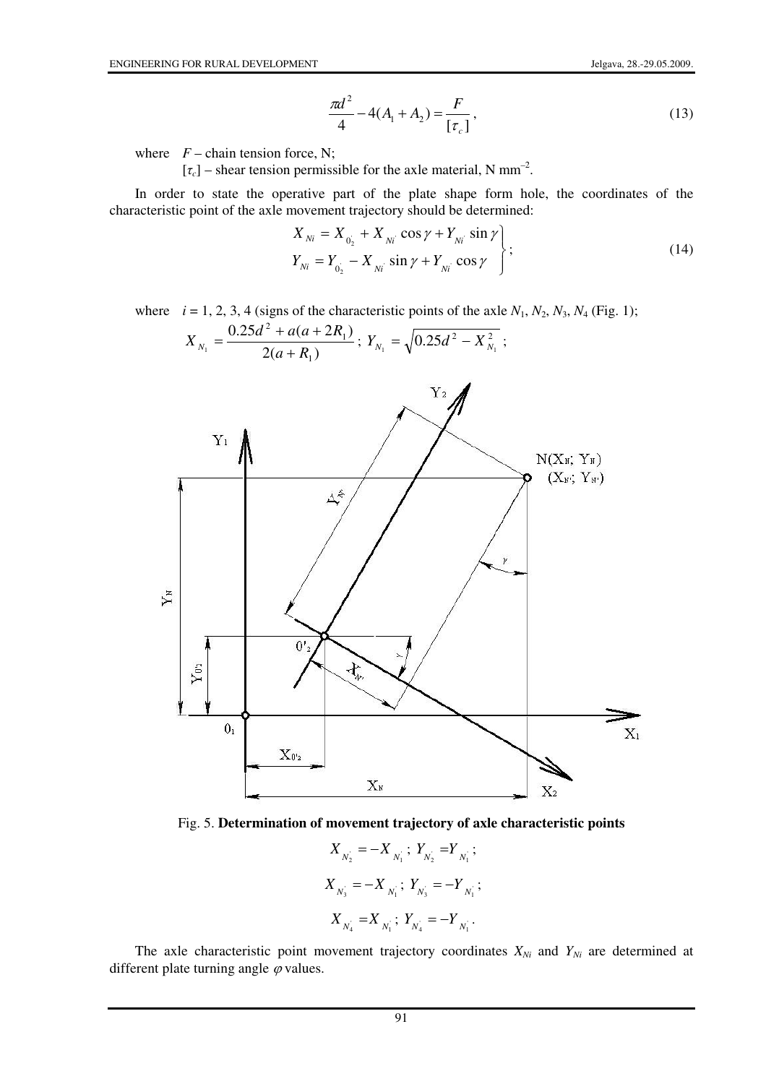$$
\frac{\pi d^2}{4} - 4(A_1 + A_2) = \frac{F}{[\tau_c]},
$$
\n(13)

where  $F$  – chain tension force, N;

 $[\tau_c]$  – shear tension permissible for the axle material, N mm<sup>-2</sup>.

In order to state the operative part of the plate shape form hole, the coordinates of the characteristic point of the axle movement trajectory should be determined:

$$
X_{Ni} = X_{0_{2}} + X_{Ni} \cos \gamma + Y_{Ni} \sin \gamma
$$
  
\n
$$
Y_{Ni} = Y_{0_{2}} - X_{Ni} \sin \gamma + Y_{Ni} \cos \gamma
$$
 (14)

where  $i = 1, 2, 3, 4$  (signs of the characteristic points of the axle  $N_1, N_2, N_3, N_4$  (Fig. 1);

$$
X_{N_1} = \frac{0.25d^2 + a(a+2R_1)}{2(a+R_1)}; \ Y_{N_1} = \sqrt{0.25d^2 - X_{N_1}^2};
$$



Fig. 5. **Determination of movement trajectory of axle characteristic points**

$$
\begin{aligned} \boldsymbol{X}_{N_2^+} &= -\boldsymbol{X}_{N_1^+} \; ; \; \boldsymbol{Y}_{N_2^+} = & \boldsymbol{Y}_{N_1^+} \; ; \\ \boldsymbol{X}_{N_3^+} &= -\boldsymbol{X}_{N_1^+} \; ; \; \boldsymbol{Y}_{N_3^+} = -\boldsymbol{Y}_{N_1^+} \; ; \\ \boldsymbol{X}_{N_4^+} &= \boldsymbol{X}_{N_1^+} \; ; \; \boldsymbol{Y}_{N_4^+} = -\boldsymbol{Y}_{N_1^+} . \end{aligned}
$$

The axle characteristic point movement trajectory coordinates  $X_{Ni}$  and  $Y_{Ni}$  are determined at different plate turning angle  $\varphi$  values.